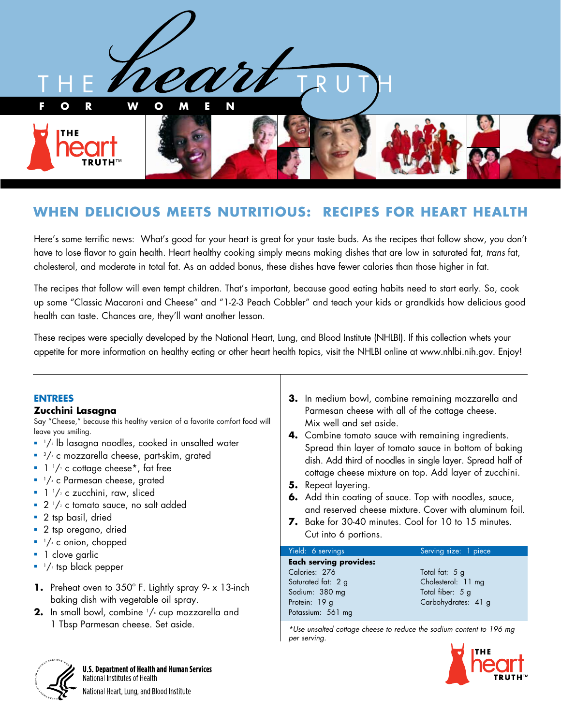

# **WHEN DELICIOUS MEETS NUTRITIOUS: RECIPES FOR HEART HEALTH**

Here's some terrific news: What's good for your heart is great for your taste buds. As the recipes that follow show, you don't have to lose flavor to gain health. Heart healthy cooking simply means making dishes that are low in saturated fat, *trans* fat, cholesterol, and moderate in total fat. As an added bonus, these dishes have fewer calories than those higher in fat.

The recipes that follow will even tempt children. That's important, because good eating habits need to start early. So, cook up some "Classic Macaroni and Cheese" and "1-2-3 Peach Cobbler" and teach your kids or grandkids how delicious good health can taste. Chances are, they'll want another lesson.

These recipes were specially developed by the National Heart, Lung, and Blood Institute (NHLBI). If this collection whets your appetite for more information on healthy eating or other heart health topics, visit the NHLBI online at www.nhlbi.nih.gov. Enjoy!

#### **ENTREES**

#### **Zucchini Lasagna**

Say "Cheese," because this healthy version of a favorite comfort food will leave you smiling.

- $^{1}/$  $\scriptscriptstyle{2}$  lb lasagna noodles, cooked in unsalted water
- $\frac{3}{4}$  c mozzarella cheese, part-skim, grated
- $\blacksquare$  1  $\frac{1}{2}$  c cottage cheese\*, fat free
- $\blacksquare$   $\lnot$  / $\lq$  c Parmesan cheese, grated
- 1 ½ c zucchini, raw, sliced
- $\bullet$  2  $\frac{1}{2}$  c tomato sauce, no salt added
- 2 tsp basil, dried
- 2 tsp oregano, dried
- $\blacksquare$   $\lnot/\lq$  c onion, chopped
- 1 clove garlic
- $\blacksquare$   $\lnot$  tsp black pepper
- **1.** Preheat oven to 350º F. Lightly spray 9- x 13-inch baking dish with vegetable oil spray.
- **2.** In small bowl, combine '/<sub>'</sub> cup mozzarella and 1 Tbsp Parmesan cheese. Set aside.
- **3.** In medium bowl, combine remaining mozzarella and Parmesan cheese with all of the cottage cheese. Mix well and set aside.
- **4.** Combine tomato sauce with remaining ingredients. Spread thin layer of tomato sauce in bottom of baking dish. Add third of noodles in single layer. Spread half of cottage cheese mixture on top. Add layer of zucchini.
- **5.** Repeat layering.
- **6.** Add thin coating of sauce. Top with noodles, sauce, and reserved cheese mixture. Cover with aluminum foil.
- **7.** Bake for 30-40 minutes. Cool for 10 to 15 minutes. Cut into 6 portions.

#### Yield: 6 servings Serving size: 1 piece **Each serving provides:** Calories: 276 Total fat: 5 g Saturated fat: 2 g Cholesterol: 11 mg Sodium: 380 mg Total fiber: 5 g Protein: 19 g Carbohydrates: 41 g Potassium: 561 mg

*\*Use unsalted cottage cheese to reduce the sodium content to 196 mg per serving.*



**U.S. Department of Health and Human Services** National Institutes of Health National Heart, Lung, and Blood Institute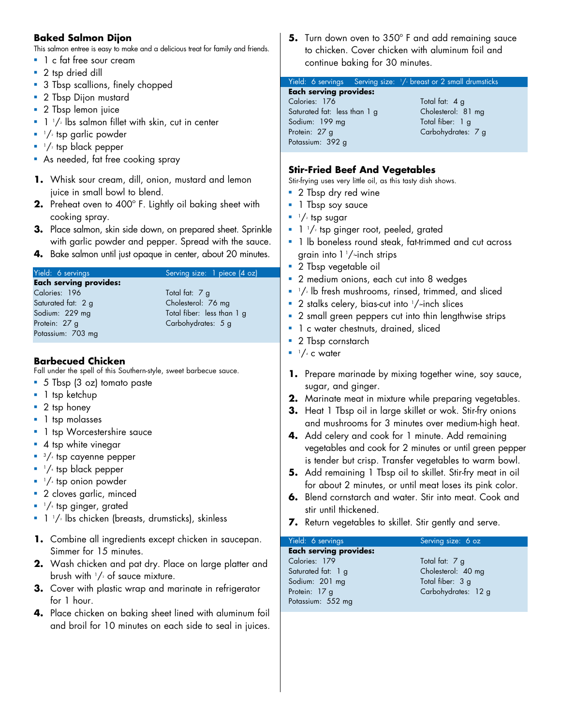## **Baked Salmon Dijon**

This salmon entree is easy to make and a delicious treat for family and friends.

- **n** 1 c fat free sour cream
- 2 tsp dried dill
- **-** 3 Tbsp scallions, finely chopped
- **2** Tbsp Dijon mustard
- **2** Tbsp lemon juice
- $\blacksquare$  1  $\mathbin{/}_z$  lbs salmon fillet with skin, cut in center
- $\blacksquare$   $^{1}/_{^{2}}$  tsp garlic powder
- $\blacksquare$   $\lightharpoonup$   $\lbrack\! \lbrack$  tsp black pepper
- **As needed, fat free cooking spray**
- **1.** Whisk sour cream, dill, onion, mustard and lemon juice in small bowl to blend.
- **2.** Preheat oven to 400º F. Lightly oil baking sheet with cooking spray.
- **3.** Place salmon, skin side down, on prepared sheet. Sprinkle with garlic powder and pepper. Spread with the sauce.
- **4.** Bake salmon until just opaque in center, about 20 minutes.

# Yield: 6 servings Serving size: 1 piece (4 oz)

#### **Each serving provides:** Calories: 196 Total fat: 7 g Saturated fat: 2 g Cholesterol: 76 mg Sodium: 229 mg Total fiber: less than 1 g Protein: 27 g Carbohydrates: 5 g Potassium: 703 mg

#### **Barbecued Chicken**

Fall under the spell of this Southern-style, sweet barbecue sauce.

- 5 Tbsp (3 oz) tomato paste
- $\blacksquare$  1 tsp ketchup
- 2 tsp honey
- **n** 1 tsp molasses
- 1 tsp Worcestershire sauce
- $\blacksquare$  4 tsp white vinegar
- $\frac{3}{4}$  tsp cayenne pepper
- $\blacksquare$   $\lnot$  tsp black pepper
- $\blacksquare$  <sup>1</sup>/<sub>4</sub> tsp onion powder
- 2 cloves garlic, minced
- $\blacksquare$   $\lnot$  tsp ginger, grated
- $-1$  1/2 lbs chicken (breasts, drumsticks), skinless
- **1.** Combine all ingredients except chicken in saucepan. Simmer for 15 minutes.
- **2.** Wash chicken and pat dry. Place on large platter and brush with  $1/2$  of sauce mixture.
- **3.** Cover with plastic wrap and marinate in refrigerator for 1 hour.
- **4.** Place chicken on baking sheet lined with aluminum foil and broil for 10 minutes on each side to seal in juices.

**5.** Turn down oven to 350° F and add remaining sauce to chicken. Cover chicken with aluminum foil and continue baking for 30 minutes.

#### Yield: 6 servings Serving size: 1 /2 breast or 2 small drumsticks

| Each serving provides:       |                    |
|------------------------------|--------------------|
| Calories: 176                | Total fat: 4 a     |
| Saturated fat: less than 1 g | Cholesterol: 81 mg |
| Sodium: 199 mg               | Total fiber: 1 a   |
| Protein: 27 a                | Carbohydrates: 7 g |
| Potassium: 392 g             |                    |
|                              |                    |

# **Stir-Fried Beef And Vegetables**

Stir-frying uses very little oil, as this tasty dish shows.

- 2 Tbsp dry red wine
- 1 Tbsp soy sauce
- $\blacksquare$   $^{1}/_{2}$  tsp sugar
- $-1$   $^{1}/$  $\scriptscriptstyle{2}$  tsp ginger root, peeled, grated
- <sup>n</sup> 1 lb boneless round steak, fat-trimmed and cut across grain into 1 1 /2-inch strips
- **2** Tbsp vegetable oil
- 2 medium onions, each cut into 8 wedges
- $\blacksquare$   $^{1}/$  lb fresh mushrooms, rinsed, trimmed, and sliced
- $\,$   $\,$  2 stalks celery, bias-cut into  $\,$  1/~inch slices
- 2 small green peppers cut into thin lengthwise strips
- <sup>n</sup> 1 c water chestnuts, drained, sliced
- 2 Tbsp cornstarch
- $\blacksquare$   $\frac{1}{4}$  c water
- **1.** Prepare marinade by mixing together wine, soy sauce, sugar, and ginger.
- **2.** Marinate meat in mixture while preparing vegetables.
- **3.** Heat 1 Tbsp oil in large skillet or wok. Stir-fry onions and mushrooms for 3 minutes over medium-high heat.
- **4.** Add celery and cook for 1 minute. Add remaining vegetables and cook for 2 minutes or until green pepper is tender but crisp. Transfer vegetables to warm bowl.
- **5.** Add remaining 1 Tbsp oil to skillet. Stir-fry meat in oil for about 2 minutes, or until meat loses its pink color.
- **6.** Blend cornstarch and water. Stir into meat. Cook and stir until thickened.
- **7.** Return vegetables to skillet. Stir gently and serve.

#### Yield: 6 servings Serving size: 6 oz **Each serving provides:**  Calories: 179 Total fat: 7 g Saturated fat: 1 g Cholesterol: 40 mg Sodium: 201 mg Total fiber: 3 g

Potassium: 552 mg

Protein: 17 g Carbohydrates: 12 g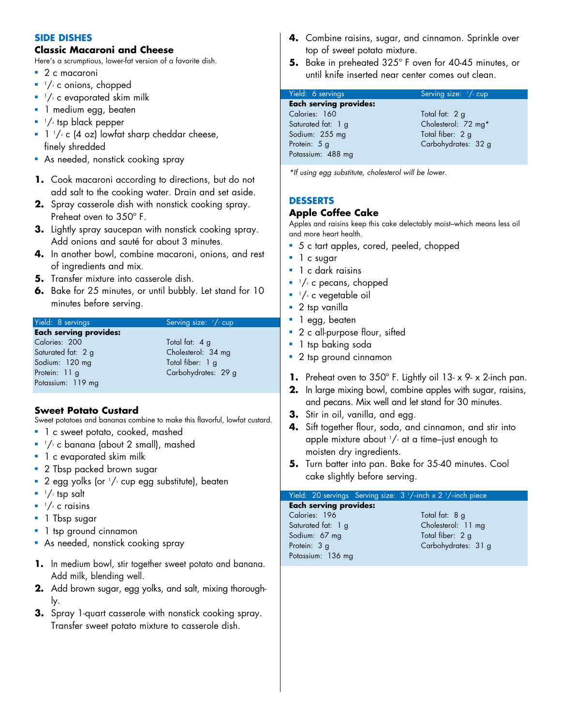#### **SIDE DISHES**

#### **Classic Macaroni and Cheese**

Here's a scrumptious, lower-fat version of a favorite dish.

- $\blacksquare$  2 c macaroni
- $\blacksquare$   $\lnot$  / $\lnot$  c onions, chopped
- $\blacksquare$   $^{1}/_{2}$  c evaporated skim milk
- **1** medium egg, beaten
- $\blacksquare$   $\lnot$  tsp black pepper
- $\blacksquare$  1  $\frac{1}{4}$  c (4 oz) lowfat sharp cheddar cheese, finely shredded
- **As needed, nonstick cooking spray**
- **1.** Cook macaroni according to directions, but do not add salt to the cooking water. Drain and set aside.
- **2.** Spray casserole dish with nonstick cooking spray. Preheat oven to 350º F.
- **3.** Lightly spray saucepan with nonstick cooking spray. Add onions and sauté for about 3 minutes.
- **4.** In another bowl, combine macaroni, onions, and rest of ingredients and mix.
- **5.** Transfer mixture into casserole dish.
- **6.** Bake for 25 minutes, or until bubbly. Let stand for 10 minutes before serving.

| Yield: 8 servings             | Serving size: $\frac{1}{2}$ cup |
|-------------------------------|---------------------------------|
| <b>Each serving provides:</b> |                                 |
| Calories: 200                 | Total fat: 4 g                  |
| Saturated fat: 2 g            | Cholesterol: 34 mg              |
| Sodium: 120 mg                | Total fiber: 1 g                |
| Protein: 11 g                 | Carbohydrates: 29 g             |
| Potassium: 119 mg             |                                 |

#### **Sweet Potato Custard**

Sweet potatoes and bananas combine to make this flavorful, lowfat custard.

- 1 c sweet potato, cooked, mashed
- $\blacksquare$   $\lnot$   $\lnot$  c banana (about 2 small), mashed
- **n** 1 c evaporated skim milk
- **2** Tbsp packed brown sugar
- $\textcolor{black}{\bullet}$  2 egg yolks (or  $1/\textcolor{black}{\circ}$  cup egg substitute), beaten
- $\blacksquare$  <sup>1</sup>/<sup>2</sup> tsp salt
- $\blacksquare$   $\frac{1}{4}$  c raisins
- **n** 1 Tbsp sugar
- 1 tsp ground cinnamon
- **As needed, nonstick cooking spray**
- **1.** In medium bowl, stir together sweet potato and banana. Add milk, blending well.
- **2.** Add brown sugar, egg yolks, and salt, mixing thoroughly.
- **3.** Spray 1-quart casserole with nonstick cooking spray. Transfer sweet potato mixture to casserole dish.
- **4.** Combine raisins, sugar, and cinnamon. Sprinkle over top of sweet potato mixture.
- **5.** Bake in preheated 325º F oven for 40-45 minutes, or until knife inserted near center comes out clean.

| Yield: 6 servings             | Serving size: $\frac{1}{2}$ cup |
|-------------------------------|---------------------------------|
| <b>Each serving provides:</b> |                                 |
| Calories: 160                 | Total fat: 2 g                  |
| Saturated fat: 1 g            | Cholesterol: 72 mg*             |
| Sodium: 255 mg                | Total fiber: 2 g                |
| Protein: 5 g                  | Carbohydrates: 32 g             |
| Potassium: 488 mg             |                                 |

*\*If using egg substitute, cholesterol will be lower.*

## **DESSERTS**

#### **Apple Coffee Cake**

Apples and raisins keep this cake delectably moist–which means less oil and more heart health.

- 5 c tart apples, cored, peeled, chopped
- l c sugar
- $\blacksquare$  1 c dark raisins
- $\blacksquare$   $^{1}/_{^{2}}$  c pecans, chopped
- <sup>1</sup>/4 c vegetable oil
- $\blacksquare$  2 tsp vanilla
- 1 egg, beaten
- 2 c all-purpose flour, sifted
- **n** 1 tsp baking soda
- 2 tsp ground cinnamon
- **1.** Preheat oven to 350º F. Lightly oil 13- x 9- x 2-inch pan.
- **2.** In large mixing bowl, combine apples with sugar, raisins, and pecans. Mix well and let stand for 30 minutes.
- **3.** Stir in oil, vanilla, and egg.
- **4.** Sift together flour, soda, and cinnamon, and stir into apple mixture about  $1/s$  at a time–just enough to moisten dry ingredients.
- **5.** Turn batter into pan. Bake for 35-40 minutes. Cool cake slightly before serving.

#### Yield: 20 servings Serving size: 3<sup>1</sup>/~inch x 2<sup>1</sup>/~inch piece

**Each serving provides:**  Calories: 196 Total fat: 8 g Saturated fat: 1 g Cholesterol: 11 mg Sodium: 67 mg Total fiber: 2 g Protein: 3 g Carbohydrates: 31 g Potassium: 136 mg